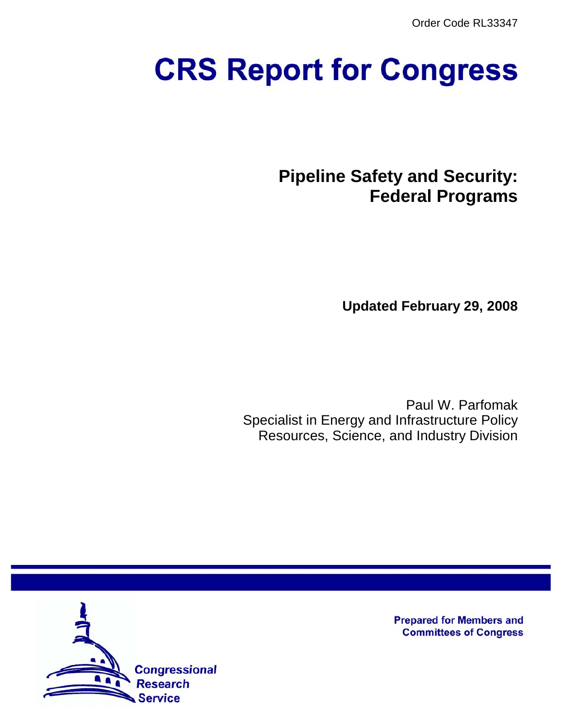Order Code RL33347

# **CRS Report for Congress**

**Pipeline Safety and Security: Federal Programs**

**Updated February 29, 2008**

Paul W. Parfomak Specialist in Energy and Infrastructure Policy Resources, Science, and Industry Division



**Prepared for Members and Committees of Congress**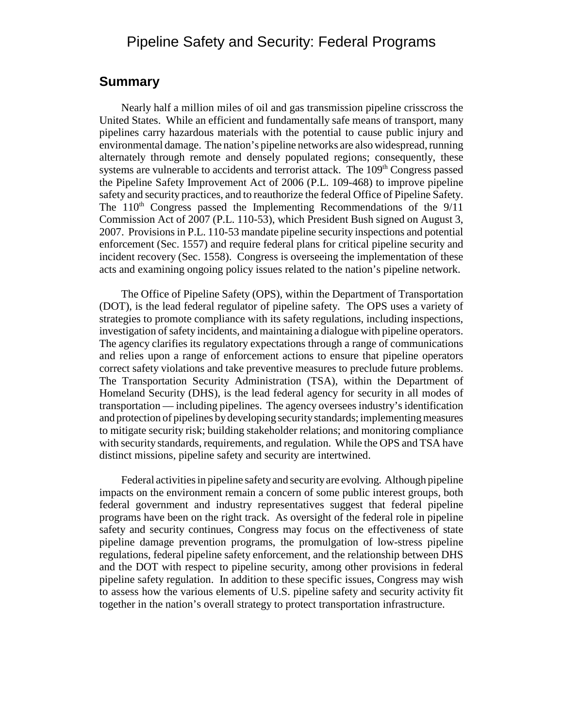## Pipeline Safety and Security: Federal Programs

## **Summary**

Nearly half a million miles of oil and gas transmission pipeline crisscross the United States. While an efficient and fundamentally safe means of transport, many pipelines carry hazardous materials with the potential to cause public injury and environmental damage. The nation's pipeline networks are also widespread, running alternately through remote and densely populated regions; consequently, these systems are vulnerable to accidents and terrorist attack. The 109<sup>th</sup> Congress passed the Pipeline Safety Improvement Act of 2006 (P.L. 109-468) to improve pipeline safety and security practices, and to reauthorize the federal Office of Pipeline Safety. The  $110<sup>th</sup>$  Congress passed the Implementing Recommendations of the  $9/11$ Commission Act of 2007 (P.L. 110-53), which President Bush signed on August 3, 2007. Provisions in P.L. 110-53 mandate pipeline security inspections and potential enforcement (Sec. 1557) and require federal plans for critical pipeline security and incident recovery (Sec. 1558). Congress is overseeing the implementation of these acts and examining ongoing policy issues related to the nation's pipeline network.

The Office of Pipeline Safety (OPS), within the Department of Transportation (DOT), is the lead federal regulator of pipeline safety. The OPS uses a variety of strategies to promote compliance with its safety regulations, including inspections, investigation of safety incidents, and maintaining a dialogue with pipeline operators. The agency clarifies its regulatory expectations through a range of communications and relies upon a range of enforcement actions to ensure that pipeline operators correct safety violations and take preventive measures to preclude future problems. The Transportation Security Administration (TSA), within the Department of Homeland Security (DHS), is the lead federal agency for security in all modes of transportation — including pipelines. The agency oversees industry's identification and protection of pipelines by developing security standards; implementing measures to mitigate security risk; building stakeholder relations; and monitoring compliance with security standards, requirements, and regulation. While the OPS and TSA have distinct missions, pipeline safety and security are intertwined.

Federal activities in pipeline safety and security are evolving. Although pipeline impacts on the environment remain a concern of some public interest groups, both federal government and industry representatives suggest that federal pipeline programs have been on the right track. As oversight of the federal role in pipeline safety and security continues, Congress may focus on the effectiveness of state pipeline damage prevention programs, the promulgation of low-stress pipeline regulations, federal pipeline safety enforcement, and the relationship between DHS and the DOT with respect to pipeline security, among other provisions in federal pipeline safety regulation. In addition to these specific issues, Congress may wish to assess how the various elements of U.S. pipeline safety and security activity fit together in the nation's overall strategy to protect transportation infrastructure.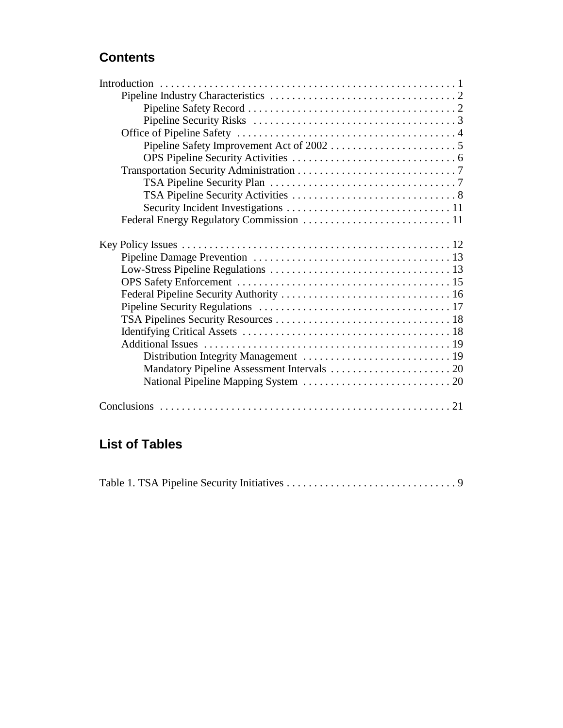## **Contents**

| Distribution Integrity Management  19 |
|---------------------------------------|
|                                       |
|                                       |
|                                       |

# **List of Tables**

|--|--|--|--|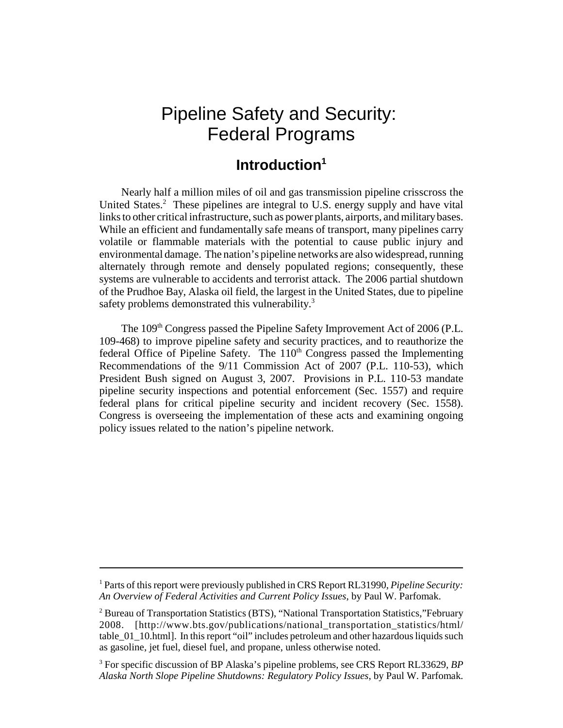# Pipeline Safety and Security: Federal Programs

## **Introduction1**

Nearly half a million miles of oil and gas transmission pipeline crisscross the United States.<sup>2</sup> These pipelines are integral to U.S. energy supply and have vital links to other critical infrastructure, such as power plants, airports, and military bases. While an efficient and fundamentally safe means of transport, many pipelines carry volatile or flammable materials with the potential to cause public injury and environmental damage. The nation's pipeline networks are also widespread, running alternately through remote and densely populated regions; consequently, these systems are vulnerable to accidents and terrorist attack. The 2006 partial shutdown of the Prudhoe Bay, Alaska oil field, the largest in the United States, due to pipeline safety problems demonstrated this vulnerability.<sup>3</sup>

The 109<sup>th</sup> Congress passed the Pipeline Safety Improvement Act of 2006 (P.L. 109-468) to improve pipeline safety and security practices, and to reauthorize the federal Office of Pipeline Safety. The  $110<sup>th</sup>$  Congress passed the Implementing Recommendations of the 9/11 Commission Act of 2007 (P.L. 110-53), which President Bush signed on August 3, 2007. Provisions in P.L. 110-53 mandate pipeline security inspections and potential enforcement (Sec. 1557) and require federal plans for critical pipeline security and incident recovery (Sec. 1558). Congress is overseeing the implementation of these acts and examining ongoing policy issues related to the nation's pipeline network.

<sup>&</sup>lt;sup>1</sup> Parts of this report were previously published in CRS Report RL31990, *Pipeline Security*: *An Overview of Federal Activities and Current Policy Issues*, by Paul W. Parfomak.

<sup>&</sup>lt;sup>2</sup> Bureau of Transportation Statistics (BTS), "National Transportation Statistics,"February 2008. [http://www.bts.gov/publications/national\_transportation\_statistics/html/ table\_01\_10.html]. In this report "oil" includes petroleum and other hazardous liquids such as gasoline, jet fuel, diesel fuel, and propane, unless otherwise noted.

<sup>3</sup> For specific discussion of BP Alaska's pipeline problems, see CRS Report RL33629, *BP Alaska North Slope Pipeline Shutdowns: Regulatory Policy Issues*, by Paul W. Parfomak.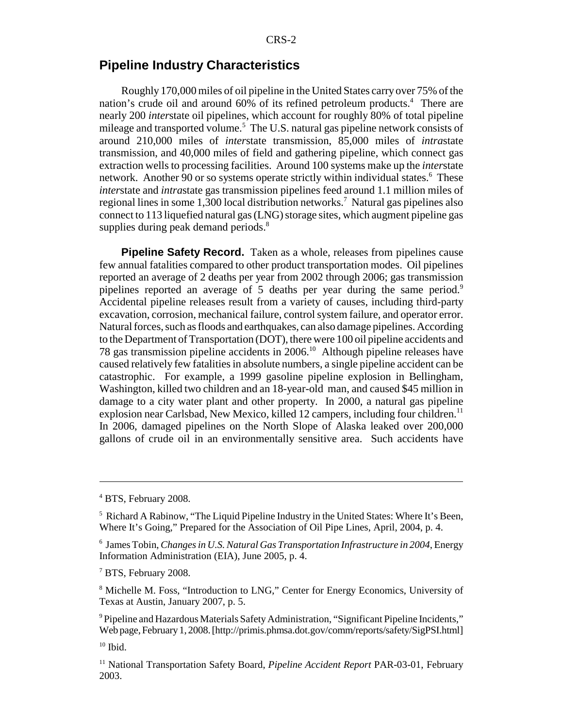## **Pipeline Industry Characteristics**

Roughly 170,000 miles of oil pipeline in the United States carry over 75% of the nation's crude oil and around 60% of its refined petroleum products.<sup>4</sup> There are nearly 200 *inter*state oil pipelines, which account for roughly 80% of total pipeline mileage and transported volume.<sup>5</sup> The U.S. natural gas pipeline network consists of around 210,000 miles of *inter*state transmission, 85,000 miles of *intra*state transmission, and 40,000 miles of field and gathering pipeline, which connect gas extraction wells to processing facilities. Around 100 systems make up the *inter*state network. Another 90 or so systems operate strictly within individual states.<sup>6</sup> These *inter*state and *intra*state gas transmission pipelines feed around 1.1 million miles of regional lines in some 1,300 local distribution networks.<sup>7</sup> Natural gas pipelines also connect to 113 liquefied natural gas (LNG) storage sites, which augment pipeline gas supplies during peak demand periods.<sup>8</sup>

**Pipeline Safety Record.** Taken as a whole, releases from pipelines cause few annual fatalities compared to other product transportation modes. Oil pipelines reported an average of 2 deaths per year from 2002 through 2006; gas transmission pipelines reported an average of 5 deaths per year during the same period.<sup>9</sup> Accidental pipeline releases result from a variety of causes, including third-party excavation, corrosion, mechanical failure, control system failure, and operator error. Natural forces, such as floods and earthquakes, can also damage pipelines. According to the Department of Transportation (DOT), there were 100 oil pipeline accidents and 78 gas transmission pipeline accidents in 2006.10 Although pipeline releases have caused relatively few fatalities in absolute numbers, a single pipeline accident can be catastrophic. For example, a 1999 gasoline pipeline explosion in Bellingham, Washington, killed two children and an 18-year-old man, and caused \$45 million in damage to a city water plant and other property. In 2000, a natural gas pipeline explosion near Carlsbad, New Mexico, killed 12 campers, including four children.<sup>11</sup> In 2006, damaged pipelines on the North Slope of Alaska leaked over 200,000 gallons of crude oil in an environmentally sensitive area. Such accidents have

<sup>4</sup> BTS, February 2008.

<sup>&</sup>lt;sup>5</sup> Richard A Rabinow, "The Liquid Pipeline Industry in the United States: Where It's Been, Where It's Going," Prepared for the Association of Oil Pipe Lines, April, 2004, p. 4.

<sup>6</sup> James Tobin, *Changes in U.S. Natural Gas Transportation Infrastructure in 2004*, Energy Information Administration (EIA), June 2005, p. 4.

<sup>7</sup> BTS, February 2008.

<sup>&</sup>lt;sup>8</sup> Michelle M. Foss, "Introduction to LNG," Center for Energy Economics, University of Texas at Austin, January 2007, p. 5.

<sup>&</sup>lt;sup>9</sup> Pipeline and Hazardous Materials Safety Administration, "Significant Pipeline Incidents," Web page, February 1, 2008. [http://primis.phmsa.dot.gov/comm/reports/safety/SigPSI.html]

 $10$  Ibid.

<sup>&</sup>lt;sup>11</sup> National Transportation Safety Board, *Pipeline Accident Report* PAR-03-01, February 2003.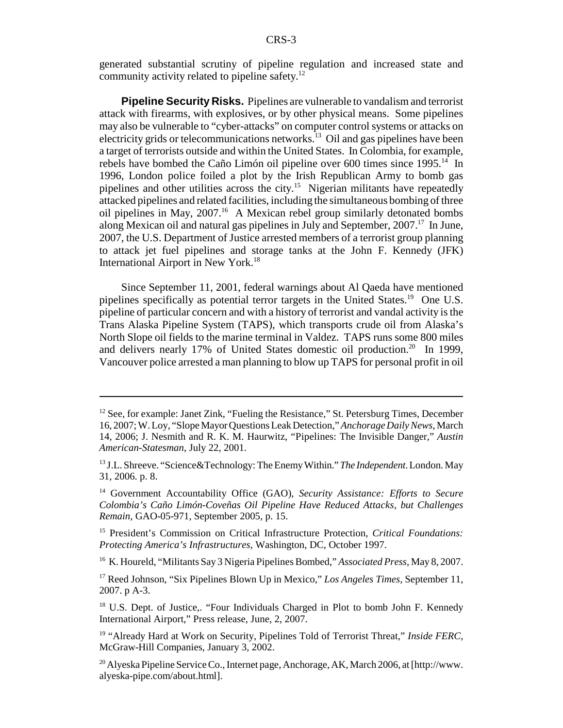generated substantial scrutiny of pipeline regulation and increased state and community activity related to pipeline safety.<sup>12</sup>

**Pipeline Security Risks.** Pipelines are vulnerable to vandalism and terrorist attack with firearms, with explosives, or by other physical means. Some pipelines may also be vulnerable to "cyber-attacks" on computer control systems or attacks on electricity grids or telecommunications networks.<sup>13</sup> Oil and gas pipelines have been a target of terrorists outside and within the United States. In Colombia, for example, rebels have bombed the Caño Limón oil pipeline over 600 times since 1995.<sup>14</sup> In 1996, London police foiled a plot by the Irish Republican Army to bomb gas pipelines and other utilities across the city.15 Nigerian militants have repeatedly attacked pipelines and related facilities, including the simultaneous bombing of three oil pipelines in May, 2007.16 A Mexican rebel group similarly detonated bombs along Mexican oil and natural gas pipelines in July and September, 2007.<sup>17</sup> In June, 2007, the U.S. Department of Justice arrested members of a terrorist group planning to attack jet fuel pipelines and storage tanks at the John F. Kennedy (JFK) International Airport in New York.<sup>18</sup>

Since September 11, 2001, federal warnings about Al Qaeda have mentioned pipelines specifically as potential terror targets in the United States.19 One U.S. pipeline of particular concern and with a history of terrorist and vandal activity is the Trans Alaska Pipeline System (TAPS), which transports crude oil from Alaska's North Slope oil fields to the marine terminal in Valdez. TAPS runs some 800 miles and delivers nearly 17% of United States domestic oil production.<sup>20</sup> In 1999, Vancouver police arrested a man planning to blow up TAPS for personal profit in oil

<sup>&</sup>lt;sup>12</sup> See, for example: Janet Zink, "Fueling the Resistance," St. Petersburg Times, December 16, 2007; W. Loy, "Slope Mayor Questions Leak Detection," *Anchorage Daily News*, March 14, 2006; J. Nesmith and R. K. M. Haurwitz, "Pipelines: The Invisible Danger," *Austin American-Statesman*, July 22, 2001.

<sup>13</sup> J.L. Shreeve. "Science&Technology: The Enemy Within." *The Independent*. London. May 31, 2006. p. 8.

<sup>14</sup> Government Accountability Office (GAO), *Security Assistance: Efforts to Secure Colombia's Caño Limón-Coveñas Oil Pipeline Have Reduced Attacks, but Challenges Remain*, GAO-05-971, September 2005, p. 15.

<sup>15</sup> President's Commission on Critical Infrastructure Protection, *Critical Foundations: Protecting America's Infrastructures*, Washington, DC, October 1997.

<sup>16</sup> K. Houreld, "Militants Say 3 Nigeria Pipelines Bombed," *Associated Press*, May 8, 2007.

<sup>&</sup>lt;sup>17</sup> Reed Johnson, "Six Pipelines Blown Up in Mexico," Los Angeles Times, September 11, 2007. p A-3.

<sup>&</sup>lt;sup>18</sup> U.S. Dept. of Justice,. "Four Individuals Charged in Plot to bomb John F. Kennedy International Airport," Press release, June, 2, 2007.

<sup>&</sup>lt;sup>19</sup> "Already Hard at Work on Security, Pipelines Told of Terrorist Threat," Inside FERC, McGraw-Hill Companies, January 3, 2002.

 $^{20}$  Alyeska Pipeline Service Co., Internet page, Anchorage, AK, March 2006, at [http://www. alyeska-pipe.com/about.html].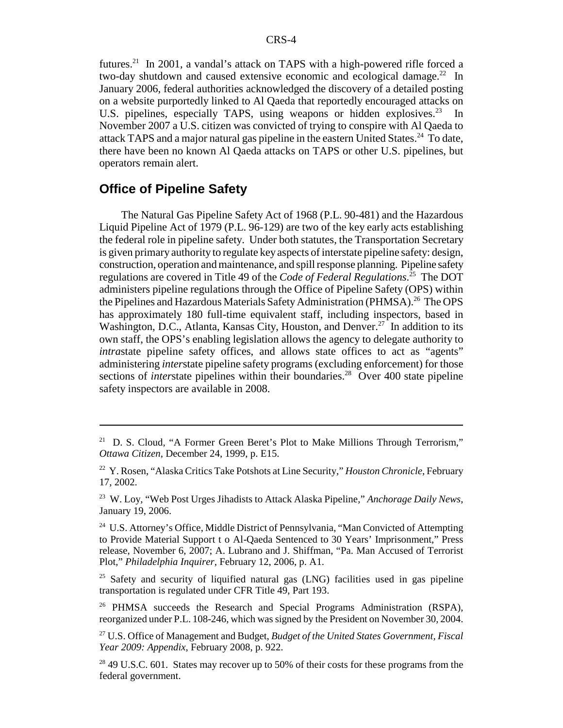futures.<sup>21</sup> In 2001, a vandal's attack on TAPS with a high-powered rifle forced a two-day shutdown and caused extensive economic and ecological damage.<sup>22</sup> In January 2006, federal authorities acknowledged the discovery of a detailed posting on a website purportedly linked to Al Qaeda that reportedly encouraged attacks on U.S. pipelines, especially TAPS, using weapons or hidden explosives.<sup>23</sup> In November 2007 a U.S. citizen was convicted of trying to conspire with Al Qaeda to attack TAPS and a major natural gas pipeline in the eastern United States.<sup>24</sup> To date, there have been no known Al Qaeda attacks on TAPS or other U.S. pipelines, but operators remain alert.

## **Office of Pipeline Safety**

The Natural Gas Pipeline Safety Act of 1968 (P.L. 90-481) and the Hazardous Liquid Pipeline Act of 1979 (P.L. 96-129) are two of the key early acts establishing the federal role in pipeline safety. Under both statutes, the Transportation Secretary is given primary authority to regulate key aspects of interstate pipeline safety: design, construction, operation and maintenance, and spill response planning. Pipeline safety regulations are covered in Title 49 of the *Code of Federal Regulations*. 25 The DOT administers pipeline regulations through the Office of Pipeline Safety (OPS) within the Pipelines and Hazardous Materials Safety Administration (PHMSA).<sup>26</sup> The OPS has approximately 180 full-time equivalent staff, including inspectors, based in Washington, D.C., Atlanta, Kansas City, Houston, and Denver.<sup>27</sup> In addition to its own staff, the OPS's enabling legislation allows the agency to delegate authority to *intrastate pipeline safety offices, and allows state offices to act as "agents"* administering *inter*state pipeline safety programs (excluding enforcement) for those sections of *interstate* pipelines within their boundaries.<sup>28</sup> Over 400 state pipeline safety inspectors are available in 2008.

<sup>&</sup>lt;sup>21</sup> D. S. Cloud, "A Former Green Beret's Plot to Make Millions Through Terrorism," *Ottawa Citizen*, December 24, 1999, p. E15.

<sup>&</sup>lt;sup>22</sup> Y. Rosen, "Alaska Critics Take Potshots at Line Security," *Houston Chronicle*, February 17, 2002.

<sup>23</sup> W. Loy, "Web Post Urges Jihadists to Attack Alaska Pipeline," *Anchorage Daily News*, January 19, 2006.

<sup>&</sup>lt;sup>24</sup> U.S. Attorney's Office, Middle District of Pennsylvania, "Man Convicted of Attempting to Provide Material Support t o Al-Qaeda Sentenced to 30 Years' Imprisonment," Press release, November 6, 2007; A. Lubrano and J. Shiffman, "Pa. Man Accused of Terrorist Plot," *Philadelphia Inquirer*, February 12, 2006, p. A1.

 $25$  Safety and security of liquified natural gas (LNG) facilities used in gas pipeline transportation is regulated under CFR Title 49, Part 193.

<sup>&</sup>lt;sup>26</sup> PHMSA succeeds the Research and Special Programs Administration (RSPA), reorganized under P.L. 108-246, which was signed by the President on November 30, 2004.

<sup>27</sup> U.S. Office of Management and Budget, *Budget of the United States Government, Fiscal Year 2009: Appendix*, February 2008, p. 922.

 $28$  49 U.S.C. 601. States may recover up to 50% of their costs for these programs from the federal government.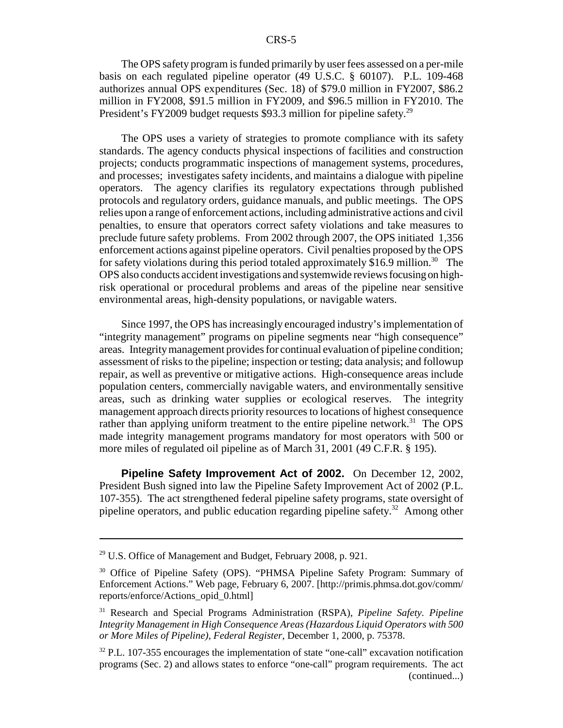The OPS safety program is funded primarily by user fees assessed on a per-mile basis on each regulated pipeline operator (49 U.S.C. § 60107). P.L. 109-468 authorizes annual OPS expenditures (Sec. 18) of \$79.0 million in FY2007, \$86.2 million in FY2008, \$91.5 million in FY2009, and \$96.5 million in FY2010. The President's FY2009 budget requests \$93.3 million for pipeline safety.<sup>29</sup>

The OPS uses a variety of strategies to promote compliance with its safety standards. The agency conducts physical inspections of facilities and construction projects; conducts programmatic inspections of management systems, procedures, and processes; investigates safety incidents, and maintains a dialogue with pipeline operators. The agency clarifies its regulatory expectations through published protocols and regulatory orders, guidance manuals, and public meetings. The OPS relies upon a range of enforcement actions, including administrative actions and civil penalties, to ensure that operators correct safety violations and take measures to preclude future safety problems. From 2002 through 2007, the OPS initiated 1,356 enforcement actions against pipeline operators. Civil penalties proposed by the OPS for safety violations during this period totaled approximately \$16.9 million.<sup>30</sup> The OPS also conducts accident investigations and systemwide reviews focusing on highrisk operational or procedural problems and areas of the pipeline near sensitive environmental areas, high-density populations, or navigable waters.

Since 1997, the OPS has increasingly encouraged industry's implementation of "integrity management" programs on pipeline segments near "high consequence" areas. Integrity management provides for continual evaluation of pipeline condition; assessment of risks to the pipeline; inspection or testing; data analysis; and followup repair, as well as preventive or mitigative actions. High-consequence areas include population centers, commercially navigable waters, and environmentally sensitive areas, such as drinking water supplies or ecological reserves. The integrity management approach directs priority resources to locations of highest consequence rather than applying uniform treatment to the entire pipeline network.<sup>31</sup> The OPS made integrity management programs mandatory for most operators with 500 or more miles of regulated oil pipeline as of March 31, 2001 (49 C.F.R. § 195).

**Pipeline Safety Improvement Act of 2002.** On December 12, 2002, President Bush signed into law the Pipeline Safety Improvement Act of 2002 (P.L. 107-355). The act strengthened federal pipeline safety programs, state oversight of pipeline operators, and public education regarding pipeline safety. $32$  Among other

 $29$  U.S. Office of Management and Budget, February 2008, p. 921.

<sup>30</sup> Office of Pipeline Safety (OPS). "PHMSA Pipeline Safety Program: Summary of Enforcement Actions." Web page, February 6, 2007. [http://primis.phmsa.dot.gov/comm/ reports/enforce/Actions\_opid\_0.html]

<sup>31</sup> Research and Special Programs Administration (RSPA), *Pipeline Safety. Pipeline Integrity Management in High Consequence Areas (Hazardous Liquid Operators with 500 or More Miles of Pipeline)*, *Federal Register*, December 1, 2000, p. 75378.

<sup>&</sup>lt;sup>32</sup> P.L. 107-355 encourages the implementation of state "one-call" excavation notification programs (Sec. 2) and allows states to enforce "one-call" program requirements. The act (continued...)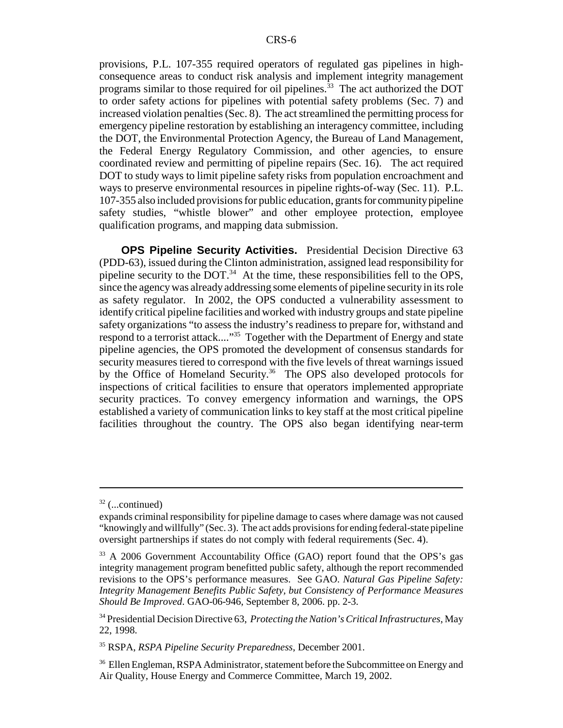provisions, P.L. 107-355 required operators of regulated gas pipelines in highconsequence areas to conduct risk analysis and implement integrity management programs similar to those required for oil pipelines.<sup>33</sup> The act authorized the DOT to order safety actions for pipelines with potential safety problems (Sec. 7) and increased violation penalties (Sec. 8). The act streamlined the permitting process for emergency pipeline restoration by establishing an interagency committee, including the DOT, the Environmental Protection Agency, the Bureau of Land Management, the Federal Energy Regulatory Commission, and other agencies, to ensure coordinated review and permitting of pipeline repairs (Sec. 16). The act required DOT to study ways to limit pipeline safety risks from population encroachment and ways to preserve environmental resources in pipeline rights-of-way (Sec. 11). P.L. 107-355 also included provisions for public education, grants for community pipeline safety studies, "whistle blower" and other employee protection, employee qualification programs, and mapping data submission.

**OPS Pipeline Security Activities.** Presidential Decision Directive 63 (PDD-63), issued during the Clinton administration, assigned lead responsibility for pipeline security to the DOT. $34$  At the time, these responsibilities fell to the OPS, since the agency was already addressing some elements of pipeline security in its role as safety regulator. In 2002, the OPS conducted a vulnerability assessment to identify critical pipeline facilities and worked with industry groups and state pipeline safety organizations "to assess the industry's readiness to prepare for, withstand and respond to a terrorist attack...."<sup>35</sup> Together with the Department of Energy and state pipeline agencies, the OPS promoted the development of consensus standards for security measures tiered to correspond with the five levels of threat warnings issued by the Office of Homeland Security.<sup>36</sup> The OPS also developed protocols for inspections of critical facilities to ensure that operators implemented appropriate security practices. To convey emergency information and warnings, the OPS established a variety of communication links to key staff at the most critical pipeline facilities throughout the country. The OPS also began identifying near-term

 $32$  (...continued)

expands criminal responsibility for pipeline damage to cases where damage was not caused "knowingly and willfully" (Sec. 3). The act adds provisions for ending federal-state pipeline oversight partnerships if states do not comply with federal requirements (Sec. 4).

<sup>&</sup>lt;sup>33</sup> A 2006 Government Accountability Office (GAO) report found that the OPS's gas integrity management program benefitted public safety, although the report recommended revisions to the OPS's performance measures. See GAO. *Natural Gas Pipeline Safety: Integrity Management Benefits Public Safety, but Consistency of Performance Measures Should Be Improved*. GAO-06-946, September 8, 2006. pp. 2-3.

<sup>34</sup> Presidential Decision Directive 63, *Protecting the Nation's Critical Infrastructures*, May 22, 1998.

<sup>35</sup> RSPA, *RSPA Pipeline Security Preparedness*, December 2001.

<sup>&</sup>lt;sup>36</sup> Ellen Engleman, RSPA Administrator, statement before the Subcommittee on Energy and Air Quality, House Energy and Commerce Committee, March 19, 2002.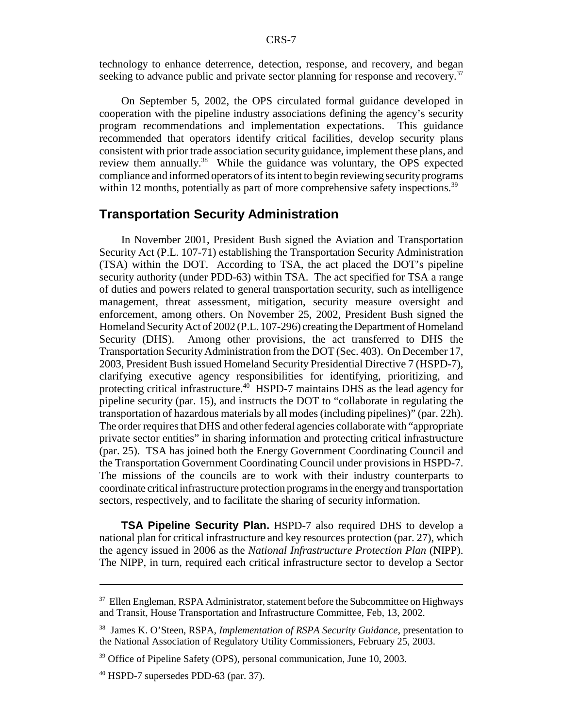technology to enhance deterrence, detection, response, and recovery, and began seeking to advance public and private sector planning for response and recovery.<sup>37</sup>

On September 5, 2002, the OPS circulated formal guidance developed in cooperation with the pipeline industry associations defining the agency's security program recommendations and implementation expectations. This guidance recommended that operators identify critical facilities, develop security plans consistent with prior trade association security guidance, implement these plans, and review them annually.<sup>38</sup> While the guidance was voluntary, the OPS expected compliance and informed operators of its intent to begin reviewing security programs within 12 months, potentially as part of more comprehensive safety inspections.<sup>39</sup>

## **Transportation Security Administration**

In November 2001, President Bush signed the Aviation and Transportation Security Act (P.L. 107-71) establishing the Transportation Security Administration (TSA) within the DOT. According to TSA, the act placed the DOT's pipeline security authority (under PDD-63) within TSA. The act specified for TSA a range of duties and powers related to general transportation security, such as intelligence management, threat assessment, mitigation, security measure oversight and enforcement, among others. On November 25, 2002, President Bush signed the Homeland Security Act of 2002 (P.L. 107-296) creating the Department of Homeland Security (DHS). Among other provisions, the act transferred to DHS the Transportation Security Administration from the DOT (Sec. 403). On December 17, 2003, President Bush issued Homeland Security Presidential Directive 7 (HSPD-7), clarifying executive agency responsibilities for identifying, prioritizing, and protecting critical infrastructure.<sup>40</sup> HSPD-7 maintains DHS as the lead agency for pipeline security (par. 15), and instructs the DOT to "collaborate in regulating the transportation of hazardous materials by all modes (including pipelines)" (par. 22h). The order requires that DHS and other federal agencies collaborate with "appropriate private sector entities" in sharing information and protecting critical infrastructure (par. 25). TSA has joined both the Energy Government Coordinating Council and the Transportation Government Coordinating Council under provisions in HSPD-7. The missions of the councils are to work with their industry counterparts to coordinate critical infrastructure protection programs in the energy and transportation sectors, respectively, and to facilitate the sharing of security information.

**TSA Pipeline Security Plan.** HSPD-7 also required DHS to develop a national plan for critical infrastructure and key resources protection (par. 27), which the agency issued in 2006 as the *National Infrastructure Protection Plan* (NIPP). The NIPP, in turn, required each critical infrastructure sector to develop a Sector

<sup>&</sup>lt;sup>37</sup> Ellen Engleman, RSPA Administrator, statement before the Subcommittee on Highways and Transit, House Transportation and Infrastructure Committee, Feb, 13, 2002.

<sup>38</sup> James K. O'Steen, RSPA, *Implementation of RSPA Security Guidance*, presentation to the National Association of Regulatory Utility Commissioners, February 25, 2003.

<sup>&</sup>lt;sup>39</sup> Office of Pipeline Safety (OPS), personal communication, June 10, 2003.

 $40$  HSPD-7 supersedes PDD-63 (par. 37).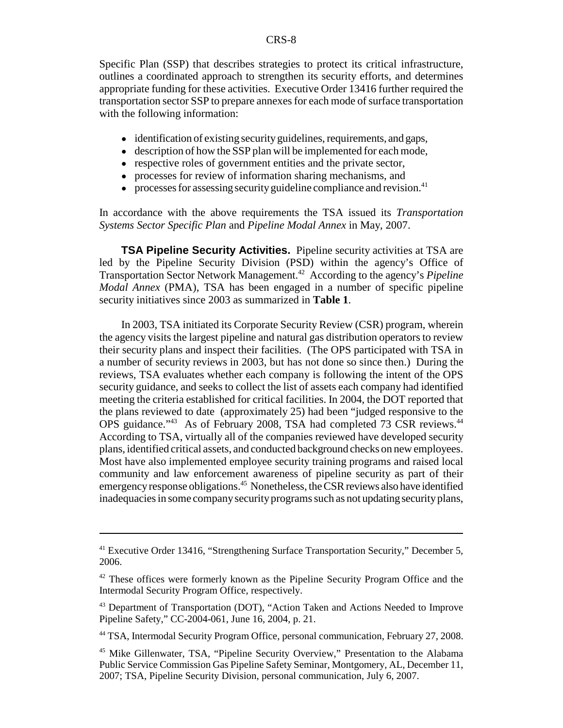Specific Plan (SSP) that describes strategies to protect its critical infrastructure, outlines a coordinated approach to strengthen its security efforts, and determines appropriate funding for these activities. Executive Order 13416 further required the transportation sector SSP to prepare annexes for each mode of surface transportation with the following information:

- ! identification of existing security guidelines, requirements, and gaps,
- description of how the SSP plan will be implemented for each mode,
- respective roles of government entities and the private sector,
- processes for review of information sharing mechanisms, and
- processes for assessing security guideline compliance and revision.<sup>41</sup>

In accordance with the above requirements the TSA issued its *Transportation Systems Sector Specific Plan* and *Pipeline Modal Annex* in May, 2007.

**TSA Pipeline Security Activities.** Pipeline security activities at TSA are led by the Pipeline Security Division (PSD) within the agency's Office of Transportation Sector Network Management.42 According to the agency's *Pipeline Modal Annex* (PMA), TSA has been engaged in a number of specific pipeline security initiatives since 2003 as summarized in **Table 1**.

In 2003, TSA initiated its Corporate Security Review (CSR) program, wherein the agency visits the largest pipeline and natural gas distribution operators to review their security plans and inspect their facilities. (The OPS participated with TSA in a number of security reviews in 2003, but has not done so since then.) During the reviews, TSA evaluates whether each company is following the intent of the OPS security guidance, and seeks to collect the list of assets each company had identified meeting the criteria established for critical facilities. In 2004, the DOT reported that the plans reviewed to date (approximately 25) had been "judged responsive to the OPS guidance."<sup>43</sup> As of February 2008, TSA had completed 73 CSR reviews.<sup>44</sup> According to TSA, virtually all of the companies reviewed have developed security plans, identified critical assets, and conducted background checks on new employees. Most have also implemented employee security training programs and raised local community and law enforcement awareness of pipeline security as part of their emergency response obligations.<sup>45</sup> Nonetheless, the CSR reviews also have identified inadequacies in some company security programs such as not updating security plans,

<sup>&</sup>lt;sup>41</sup> Executive Order 13416, "Strengthening Surface Transportation Security," December 5, 2006.

<sup>&</sup>lt;sup>42</sup> These offices were formerly known as the Pipeline Security Program Office and the Intermodal Security Program Office, respectively.

<sup>43</sup> Department of Transportation (DOT), "Action Taken and Actions Needed to Improve Pipeline Safety," CC-2004-061, June 16, 2004, p. 21.

<sup>44</sup> TSA, Intermodal Security Program Office, personal communication, February 27, 2008.

<sup>45</sup> Mike Gillenwater, TSA, "Pipeline Security Overview," Presentation to the Alabama Public Service Commission Gas Pipeline Safety Seminar, Montgomery, AL, December 11, 2007; TSA, Pipeline Security Division, personal communication, July 6, 2007.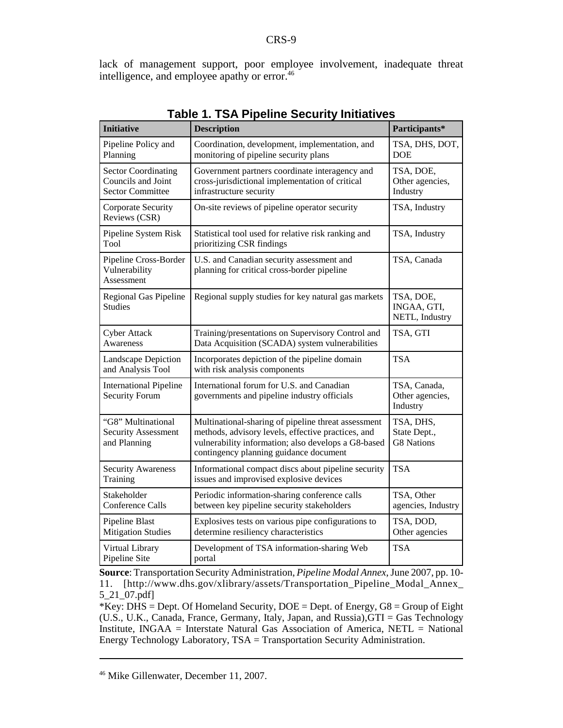lack of management support, poor employee involvement, inadequate threat intelligence, and employee apathy or error.46

|                                                                             | able to fort informed occurry intrative                                                                                                                                                                    |                                                |
|-----------------------------------------------------------------------------|------------------------------------------------------------------------------------------------------------------------------------------------------------------------------------------------------------|------------------------------------------------|
| <b>Initiative</b>                                                           | <b>Description</b>                                                                                                                                                                                         | Participants*                                  |
| Pipeline Policy and<br>Planning                                             | Coordination, development, implementation, and<br>monitoring of pipeline security plans                                                                                                                    | TSA, DHS, DOT,<br><b>DOE</b>                   |
| <b>Sector Coordinating</b><br>Councils and Joint<br><b>Sector Committee</b> | Government partners coordinate interagency and<br>cross-jurisdictional implementation of critical<br>infrastructure security                                                                               | TSA, DOE,<br>Other agencies,<br>Industry       |
| Corporate Security<br>Reviews (CSR)                                         | On-site reviews of pipeline operator security                                                                                                                                                              | TSA, Industry                                  |
| Pipeline System Risk<br>Tool                                                | Statistical tool used for relative risk ranking and<br>prioritizing CSR findings                                                                                                                           | TSA, Industry                                  |
| Pipeline Cross-Border<br>Vulnerability<br>Assessment                        | U.S. and Canadian security assessment and<br>planning for critical cross-border pipeline                                                                                                                   | TSA, Canada                                    |
| Regional Gas Pipeline<br>Studies                                            | Regional supply studies for key natural gas markets                                                                                                                                                        | TSA, DOE,<br>INGAA, GTI,<br>NETL, Industry     |
| <b>Cyber Attack</b><br>Awareness                                            | Training/presentations on Supervisory Control and<br>Data Acquisition (SCADA) system vulnerabilities                                                                                                       | TSA, GTI                                       |
| Landscape Depiction<br>and Analysis Tool                                    | Incorporates depiction of the pipeline domain<br>with risk analysis components                                                                                                                             | <b>TSA</b>                                     |
| <b>International Pipeline</b><br><b>Security Forum</b>                      | International forum for U.S. and Canadian<br>governments and pipeline industry officials                                                                                                                   | TSA, Canada,<br>Other agencies,<br>Industry    |
| "G8" Multinational<br><b>Security Assessment</b><br>and Planning            | Multinational-sharing of pipeline threat assessment<br>methods, advisory levels, effective practices, and<br>vulnerability information; also develops a G8-based<br>contingency planning guidance document | TSA, DHS,<br>State Dept.,<br><b>G8</b> Nations |
| <b>Security Awareness</b><br>Training                                       | Informational compact discs about pipeline security<br>issues and improvised explosive devices                                                                                                             | <b>TSA</b>                                     |
| Stakeholder<br><b>Conference Calls</b>                                      | Periodic information-sharing conference calls<br>between key pipeline security stakeholders                                                                                                                | TSA, Other<br>agencies, Industry               |
| Pipeline Blast<br><b>Mitigation Studies</b>                                 | Explosives tests on various pipe configurations to<br>determine resiliency characteristics                                                                                                                 | TSA, DOD,<br>Other agencies                    |
| Virtual Library<br>Pipeline Site                                            | Development of TSA information-sharing Web<br>portal                                                                                                                                                       | <b>TSA</b>                                     |

#### **Table 1. TSA Pipeline Security Initiatives**

**Source**: Transportation Security Administration, *Pipeline Modal Annex*, June 2007, pp. 10- 11. [http://www.dhs.gov/xlibrary/assets/Transportation\_Pipeline\_Modal\_Annex\_ 5\_21\_07.pdf]

\*Key: DHS = Dept. Of Homeland Security,  $DOE = Dept.$  of Energy,  $G8 = Group$  of Eight (U.S., U.K., Canada, France, Germany, Italy, Japan, and Russia),GTI = Gas Technology Institute, INGAA = Interstate Natural Gas Association of America, NETL = National Energy Technology Laboratory, TSA = Transportation Security Administration.

<sup>46</sup> Mike Gillenwater, December 11, 2007.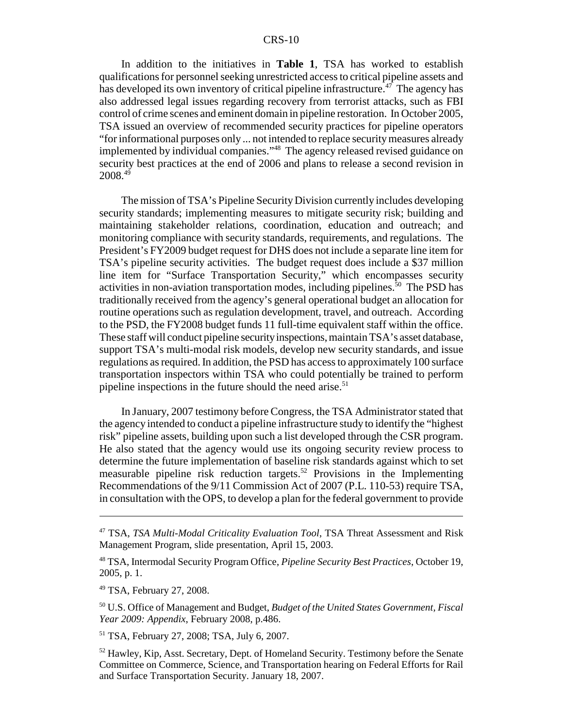#### CRS-10

In addition to the initiatives in **Table 1**, TSA has worked to establish qualifications for personnel seeking unrestricted access to critical pipeline assets and has developed its own inventory of critical pipeline infrastructure.<sup>47</sup> The agency has also addressed legal issues regarding recovery from terrorist attacks, such as FBI control of crime scenes and eminent domain in pipeline restoration. In October 2005, TSA issued an overview of recommended security practices for pipeline operators "for informational purposes only ... not intended to replace security measures already implemented by individual companies."48 The agency released revised guidance on security best practices at the end of 2006 and plans to release a second revision in 2008.49

The mission of TSA's Pipeline Security Division currently includes developing security standards; implementing measures to mitigate security risk; building and maintaining stakeholder relations, coordination, education and outreach; and monitoring compliance with security standards, requirements, and regulations. The President's FY2009 budget request for DHS does not include a separate line item for TSA's pipeline security activities. The budget request does include a \$37 million line item for "Surface Transportation Security," which encompasses security activities in non-aviation transportation modes, including pipelines.<sup>50</sup> The PSD has traditionally received from the agency's general operational budget an allocation for routine operations such as regulation development, travel, and outreach. According to the PSD, the FY2008 budget funds 11 full-time equivalent staff within the office. These staff will conduct pipeline security inspections, maintain TSA's asset database, support TSA's multi-modal risk models, develop new security standards, and issue regulations as required. In addition, the PSD has access to approximately 100 surface transportation inspectors within TSA who could potentially be trained to perform pipeline inspections in the future should the need arise.<sup>51</sup>

In January, 2007 testimony before Congress, the TSA Administrator stated that the agency intended to conduct a pipeline infrastructure study to identify the "highest risk" pipeline assets, building upon such a list developed through the CSR program. He also stated that the agency would use its ongoing security review process to determine the future implementation of baseline risk standards against which to set measurable pipeline risk reduction targets.52 Provisions in the Implementing Recommendations of the 9/11 Commission Act of 2007 (P.L. 110-53) require TSA, in consultation with the OPS, to develop a plan for the federal government to provide

48 TSA, Intermodal Security Program Office, *Pipeline Security Best Practices*, October 19, 2005, p. 1.

49 TSA, February 27, 2008.

50 U.S. Office of Management and Budget, *Budget of the United States Government, Fiscal Year 2009: Appendix*, February 2008, p.486.

51 TSA, February 27, 2008; TSA, July 6, 2007.

<sup>52</sup> Hawley, Kip, Asst. Secretary, Dept. of Homeland Security. Testimony before the Senate Committee on Commerce, Science, and Transportation hearing on Federal Efforts for Rail and Surface Transportation Security. January 18, 2007.

<sup>47</sup> TSA, *TSA Multi-Modal Criticality Evaluation Tool*, TSA Threat Assessment and Risk Management Program, slide presentation, April 15, 2003.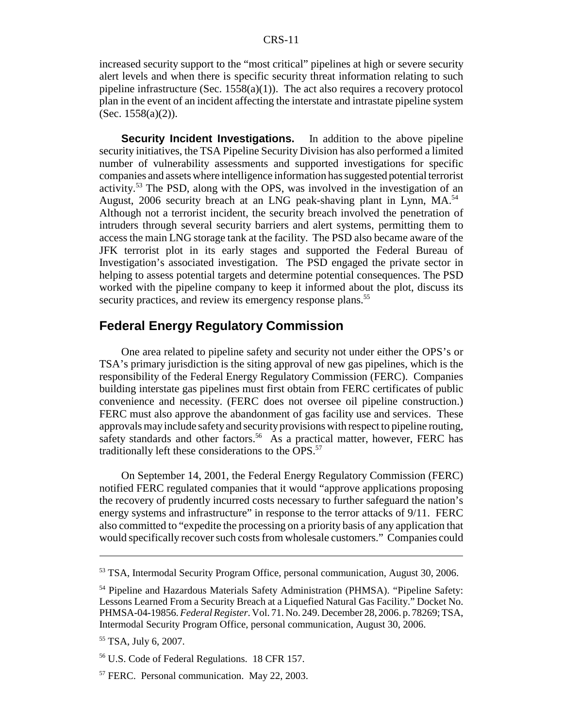increased security support to the "most critical" pipelines at high or severe security alert levels and when there is specific security threat information relating to such pipeline infrastructure (Sec. 1558(a)(1)). The act also requires a recovery protocol plan in the event of an incident affecting the interstate and intrastate pipeline system  $(Sec. 1558(a)(2)).$ 

**Security Incident Investigations.** In addition to the above pipeline security initiatives, the TSA Pipeline Security Division has also performed a limited number of vulnerability assessments and supported investigations for specific companies and assets where intelligence information has suggested potential terrorist activity.53 The PSD, along with the OPS, was involved in the investigation of an August, 2006 security breach at an LNG peak-shaving plant in Lynn,  $MA<sup>54</sup>$ Although not a terrorist incident, the security breach involved the penetration of intruders through several security barriers and alert systems, permitting them to access the main LNG storage tank at the facility. The PSD also became aware of the JFK terrorist plot in its early stages and supported the Federal Bureau of Investigation's associated investigation. The PSD engaged the private sector in helping to assess potential targets and determine potential consequences. The PSD worked with the pipeline company to keep it informed about the plot, discuss its security practices, and review its emergency response plans.<sup>55</sup>

## **Federal Energy Regulatory Commission**

One area related to pipeline safety and security not under either the OPS's or TSA's primary jurisdiction is the siting approval of new gas pipelines, which is the responsibility of the Federal Energy Regulatory Commission (FERC). Companies building interstate gas pipelines must first obtain from FERC certificates of public convenience and necessity. (FERC does not oversee oil pipeline construction.) FERC must also approve the abandonment of gas facility use and services. These approvals may include safety and security provisions with respect to pipeline routing, safety standards and other factors.<sup>56</sup> As a practical matter, however, FERC has traditionally left these considerations to the OPS.<sup>57</sup>

On September 14, 2001, the Federal Energy Regulatory Commission (FERC) notified FERC regulated companies that it would "approve applications proposing the recovery of prudently incurred costs necessary to further safeguard the nation's energy systems and infrastructure" in response to the terror attacks of 9/11. FERC also committed to "expedite the processing on a priority basis of any application that would specifically recover such costs from wholesale customers." Companies could

<sup>53</sup> TSA, Intermodal Security Program Office, personal communication, August 30, 2006.

<sup>54</sup> Pipeline and Hazardous Materials Safety Administration (PHMSA). "Pipeline Safety: Lessons Learned From a Security Breach at a Liquefied Natural Gas Facility." Docket No. PHMSA-04-19856. *Federal Register*. Vol. 71. No. 249. December 28, 2006. p. 78269; TSA, Intermodal Security Program Office, personal communication, August 30, 2006.

<sup>55</sup> TSA, July 6, 2007.

<sup>56</sup> U.S. Code of Federal Regulations. 18 CFR 157.

<sup>57</sup> FERC. Personal communication. May 22, 2003.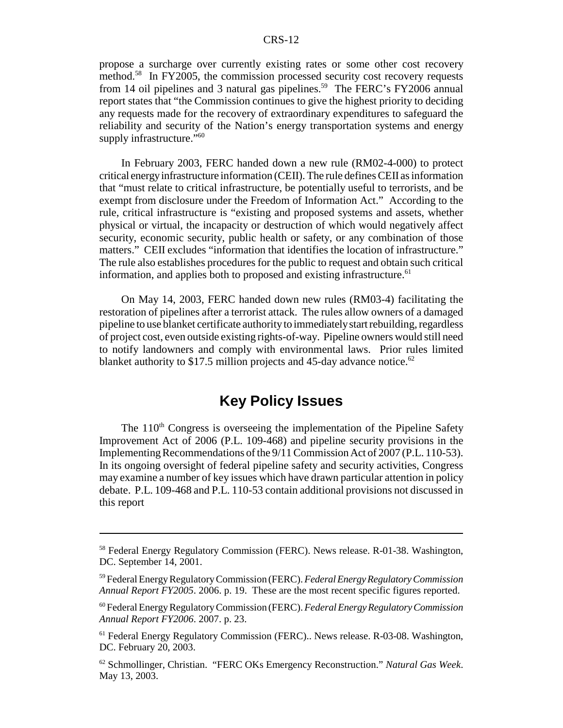propose a surcharge over currently existing rates or some other cost recovery method.<sup>58</sup> In FY2005, the commission processed security cost recovery requests from 14 oil pipelines and 3 natural gas pipelines.<sup>59</sup> The FERC's FY2006 annual report states that "the Commission continues to give the highest priority to deciding any requests made for the recovery of extraordinary expenditures to safeguard the reliability and security of the Nation's energy transportation systems and energy supply infrastructure."<sup>60</sup>

In February 2003, FERC handed down a new rule (RM02-4-000) to protect critical energy infrastructure information (CEII). The rule defines CEII as information that "must relate to critical infrastructure, be potentially useful to terrorists, and be exempt from disclosure under the Freedom of Information Act." According to the rule, critical infrastructure is "existing and proposed systems and assets, whether physical or virtual, the incapacity or destruction of which would negatively affect security, economic security, public health or safety, or any combination of those matters." CEII excludes "information that identifies the location of infrastructure." The rule also establishes procedures for the public to request and obtain such critical information, and applies both to proposed and existing infrastructure.<sup>61</sup>

On May 14, 2003, FERC handed down new rules (RM03-4) facilitating the restoration of pipelines after a terrorist attack. The rules allow owners of a damaged pipeline to use blanket certificate authority to immediately start rebuilding, regardless of project cost, even outside existing rights-of-way. Pipeline owners would still need to notify landowners and comply with environmental laws. Prior rules limited blanket authority to \$17.5 million projects and 45-day advance notice.<sup>62</sup>

## **Key Policy Issues**

The  $110<sup>th</sup>$  Congress is overseeing the implementation of the Pipeline Safety Improvement Act of 2006 (P.L. 109-468) and pipeline security provisions in the Implementing Recommendations of the 9/11 Commission Act of 2007 (P.L. 110-53). In its ongoing oversight of federal pipeline safety and security activities, Congress may examine a number of key issues which have drawn particular attention in policy debate. P.L. 109-468 and P.L. 110-53 contain additional provisions not discussed in this report

<sup>58</sup> Federal Energy Regulatory Commission (FERC). News release. R-01-38. Washington, DC. September 14, 2001.

<sup>59</sup> Federal Energy Regulatory Commission (FERC). *Federal Energy Regulatory Commission Annual Report FY2005*. 2006. p. 19. These are the most recent specific figures reported.

<sup>60</sup> Federal Energy Regulatory Commission (FERC). *Federal Energy Regulatory Commission Annual Report FY2006*. 2007. p. 23.

<sup>&</sup>lt;sup>61</sup> Federal Energy Regulatory Commission (FERC).. News release. R-03-08. Washington, DC. February 20, 2003.

<sup>62</sup> Schmollinger, Christian. "FERC OKs Emergency Reconstruction." *Natural Gas Week*. May 13, 2003.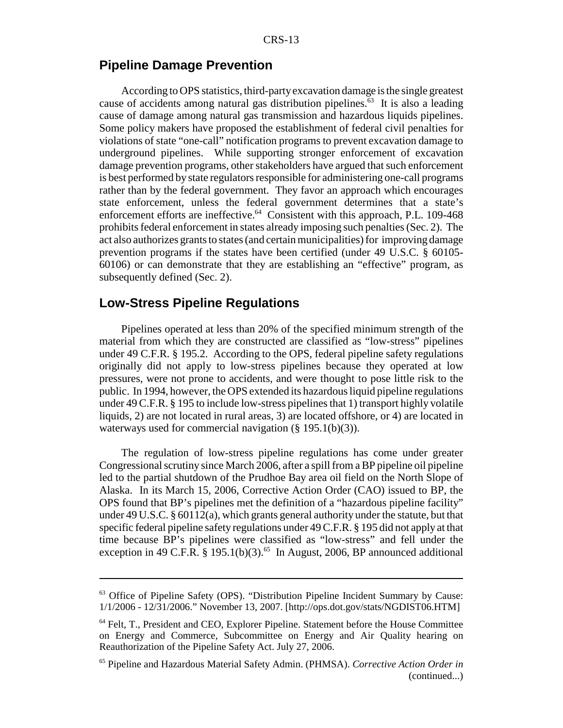## **Pipeline Damage Prevention**

According to OPS statistics, third-party excavation damage is the single greatest cause of accidents among natural gas distribution pipelines.<sup>63</sup> It is also a leading cause of damage among natural gas transmission and hazardous liquids pipelines. Some policy makers have proposed the establishment of federal civil penalties for violations of state "one-call" notification programs to prevent excavation damage to underground pipelines. While supporting stronger enforcement of excavation damage prevention programs, other stakeholders have argued that such enforcement is best performed by state regulators responsible for administering one-call programs rather than by the federal government. They favor an approach which encourages state enforcement, unless the federal government determines that a state's enforcement efforts are ineffective.<sup>64</sup> Consistent with this approach, P.L. 109-468 prohibits federal enforcement in states already imposing such penalties (Sec. 2). The act also authorizes grants to states (and certain municipalities) for improving damage prevention programs if the states have been certified (under 49 U.S.C. § 60105- 60106) or can demonstrate that they are establishing an "effective" program, as subsequently defined (Sec. 2).

#### **Low-Stress Pipeline Regulations**

Pipelines operated at less than 20% of the specified minimum strength of the material from which they are constructed are classified as "low-stress" pipelines under 49 C.F.R. § 195.2. According to the OPS, federal pipeline safety regulations originally did not apply to low-stress pipelines because they operated at low pressures, were not prone to accidents, and were thought to pose little risk to the public. In 1994, however, the OPS extended its hazardous liquid pipeline regulations under 49 C.F.R. § 195 to include low-stress pipelines that 1) transport highly volatile liquids, 2) are not located in rural areas, 3) are located offshore, or 4) are located in waterways used for commercial navigation (§ 195.1(b)(3)).

The regulation of low-stress pipeline regulations has come under greater Congressional scrutiny since March 2006, after a spill from a BP pipeline oil pipeline led to the partial shutdown of the Prudhoe Bay area oil field on the North Slope of Alaska. In its March 15, 2006, Corrective Action Order (CAO) issued to BP, the OPS found that BP's pipelines met the definition of a "hazardous pipeline facility" under 49 U.S.C. § 60112(a), which grants general authority under the statute, but that specific federal pipeline safety regulations under 49 C.F.R. § 195 did not apply at that time because BP's pipelines were classified as "low-stress" and fell under the exception in 49 C.F.R. § 195.1(b)(3).<sup>65</sup> In August, 2006, BP announced additional

<sup>63</sup> Office of Pipeline Safety (OPS). "Distribution Pipeline Incident Summary by Cause: 1/1/2006 - 12/31/2006." November 13, 2007. [http://ops.dot.gov/stats/NGDIST06.HTM]

<sup>64</sup> Felt, T., President and CEO, Explorer Pipeline. Statement before the House Committee on Energy and Commerce, Subcommittee on Energy and Air Quality hearing on Reauthorization of the Pipeline Safety Act. July 27, 2006.

<sup>65</sup> Pipeline and Hazardous Material Safety Admin. (PHMSA). *Corrective Action Order in* (continued...)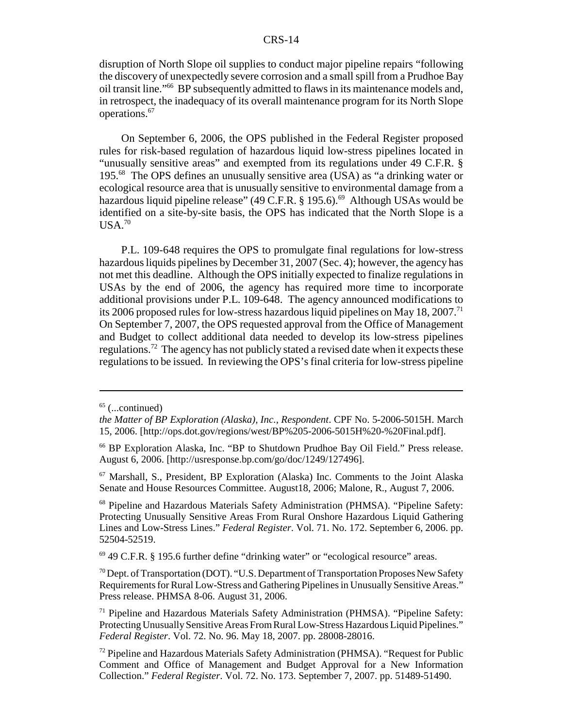#### CRS-14

disruption of North Slope oil supplies to conduct major pipeline repairs "following the discovery of unexpectedly severe corrosion and a small spill from a Prudhoe Bay oil transit line."66 BP subsequently admitted to flaws in its maintenance models and, in retrospect, the inadequacy of its overall maintenance program for its North Slope operations.<sup>67</sup>

On September 6, 2006, the OPS published in the Federal Register proposed rules for risk-based regulation of hazardous liquid low-stress pipelines located in "unusually sensitive areas" and exempted from its regulations under 49 C.F.R. § 195.68 The OPS defines an unusually sensitive area (USA) as "a drinking water or ecological resource area that is unusually sensitive to environmental damage from a hazardous liquid pipeline release" (49 C.F.R.  $\S$  195.6).<sup>69</sup> Although USAs would be identified on a site-by-site basis, the OPS has indicated that the North Slope is a  $USA.<sup>70</sup>$ 

P.L. 109-648 requires the OPS to promulgate final regulations for low-stress hazardous liquids pipelines by December 31, 2007 (Sec. 4); however, the agency has not met this deadline. Although the OPS initially expected to finalize regulations in USAs by the end of 2006, the agency has required more time to incorporate additional provisions under P.L. 109-648. The agency announced modifications to its 2006 proposed rules for low-stress hazardous liquid pipelines on May 18, 2007.<sup>71</sup> On September 7, 2007, the OPS requested approval from the Office of Management and Budget to collect additional data needed to develop its low-stress pipelines regulations.72 The agency has not publicly stated a revised date when it expects these regulations to be issued. In reviewing the OPS's final criteria for low-stress pipeline

69 49 C.F.R. § 195.6 further define "drinking water" or "ecological resource" areas.

70 Dept. of Transportation (DOT). "U.S. Department of Transportation Proposes New Safety Requirements for Rural Low-Stress and Gathering Pipelines in Unusually Sensitive Areas." Press release. PHMSA 8-06. August 31, 2006.

 $65$  (...continued)

*the Matter of BP Exploration (Alaska), Inc., Respondent*. CPF No. 5-2006-5015H. March 15, 2006. [http://ops.dot.gov/regions/west/BP%205-2006-5015H%20-%20Final.pdf].

<sup>66</sup> BP Exploration Alaska, Inc. "BP to Shutdown Prudhoe Bay Oil Field." Press release. August 6, 2006. [http://usresponse.bp.com/go/doc/1249/127496].

<sup>67</sup> Marshall, S., President, BP Exploration (Alaska) Inc. Comments to the Joint Alaska Senate and House Resources Committee. August18, 2006; Malone, R., August 7, 2006.

<sup>68</sup> Pipeline and Hazardous Materials Safety Administration (PHMSA). "Pipeline Safety: Protecting Unusually Sensitive Areas From Rural Onshore Hazardous Liquid Gathering Lines and Low-Stress Lines." *Federal Register*. Vol. 71. No. 172. September 6, 2006. pp. 52504-52519.

 $71$  Pipeline and Hazardous Materials Safety Administration (PHMSA). "Pipeline Safety: Protecting Unusually Sensitive Areas From Rural Low-Stress Hazardous Liquid Pipelines." *Federal Register*. Vol. 72. No. 96. May 18, 2007. pp. 28008-28016.

<sup>72</sup> Pipeline and Hazardous Materials Safety Administration (PHMSA). "Request for Public Comment and Office of Management and Budget Approval for a New Information Collection." *Federal Register*. Vol. 72. No. 173. September 7, 2007. pp. 51489-51490.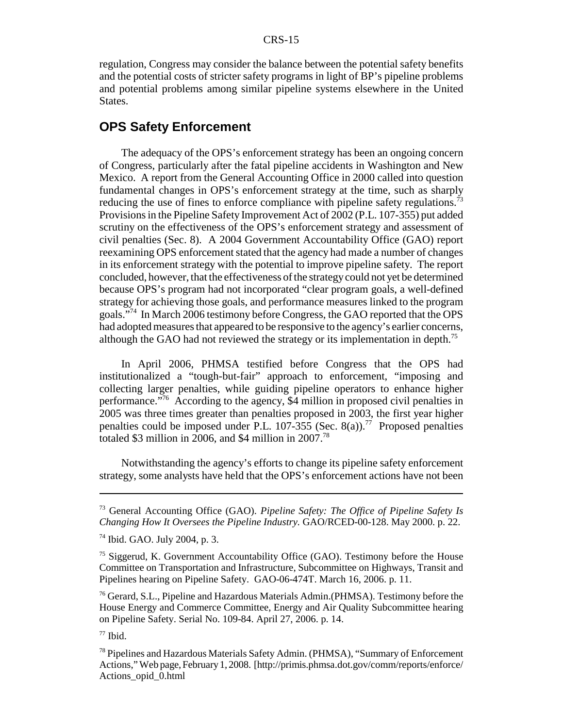regulation, Congress may consider the balance between the potential safety benefits and the potential costs of stricter safety programs in light of BP's pipeline problems and potential problems among similar pipeline systems elsewhere in the United States.

## **OPS Safety Enforcement**

The adequacy of the OPS's enforcement strategy has been an ongoing concern of Congress, particularly after the fatal pipeline accidents in Washington and New Mexico. A report from the General Accounting Office in 2000 called into question fundamental changes in OPS's enforcement strategy at the time, such as sharply reducing the use of fines to enforce compliance with pipeline safety regulations.<sup>73</sup> Provisions in the Pipeline Safety Improvement Act of 2002 (P.L. 107-355) put added scrutiny on the effectiveness of the OPS's enforcement strategy and assessment of civil penalties (Sec. 8). A 2004 Government Accountability Office (GAO) report reexamining OPS enforcement stated that the agency had made a number of changes in its enforcement strategy with the potential to improve pipeline safety. The report concluded, however, that the effectiveness of the strategy could not yet be determined because OPS's program had not incorporated "clear program goals, a well-defined strategy for achieving those goals, and performance measures linked to the program goals."74 In March 2006 testimony before Congress, the GAO reported that the OPS had adopted measures that appeared to be responsive to the agency's earlier concerns, although the GAO had not reviewed the strategy or its implementation in depth.75

In April 2006, PHMSA testified before Congress that the OPS had institutionalized a "tough-but-fair" approach to enforcement, "imposing and collecting larger penalties, while guiding pipeline operators to enhance higher performance."76 According to the agency, \$4 million in proposed civil penalties in 2005 was three times greater than penalties proposed in 2003, the first year higher penalties could be imposed under P.L. 107-355 (Sec. 8(a)).<sup>77</sup> Proposed penalties totaled \$3 million in 2006, and \$4 million in 2007.<sup>78</sup>

Notwithstanding the agency's efforts to change its pipeline safety enforcement strategy, some analysts have held that the OPS's enforcement actions have not been

<sup>76</sup> Gerard, S.L., Pipeline and Hazardous Materials Admin. (PHMSA). Testimony before the House Energy and Commerce Committee, Energy and Air Quality Subcommittee hearing on Pipeline Safety. Serial No. 109-84. April 27, 2006. p. 14.

 $77$  Ibid.

<sup>73</sup> General Accounting Office (GAO). *Pipeline Safety: The Office of Pipeline Safety Is Changing How It Oversees the Pipeline Industry.* GAO/RCED-00-128. May 2000. p. 22.

<sup>74</sup> Ibid. GAO. July 2004, p. 3.

<sup>75</sup> Siggerud, K. Government Accountability Office (GAO). Testimony before the House Committee on Transportation and Infrastructure, Subcommittee on Highways, Transit and Pipelines hearing on Pipeline Safety. GAO-06-474T. March 16, 2006. p. 11.

<sup>78</sup> Pipelines and Hazardous Materials Safety Admin. (PHMSA), "Summary of Enforcement Actions," Web page, February 1, 2008. [http://primis.phmsa.dot.gov/comm/reports/enforce/ Actions\_opid\_0.html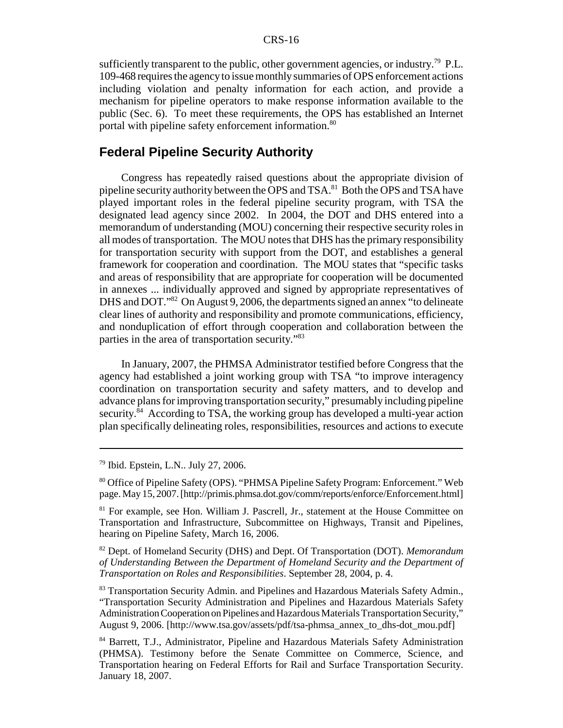sufficiently transparent to the public, other government agencies, or industry.<sup>79</sup> P.L. 109-468 requires the agency to issue monthly summaries of OPS enforcement actions including violation and penalty information for each action, and provide a mechanism for pipeline operators to make response information available to the public (Sec. 6). To meet these requirements, the OPS has established an Internet portal with pipeline safety enforcement information.<sup>80</sup>

## **Federal Pipeline Security Authority**

Congress has repeatedly raised questions about the appropriate division of pipeline security authority between the OPS and TSA.81 Both the OPS and TSA have played important roles in the federal pipeline security program, with TSA the designated lead agency since 2002. In 2004, the DOT and DHS entered into a memorandum of understanding (MOU) concerning their respective security roles in all modes of transportation. The MOU notes that DHS has the primary responsibility for transportation security with support from the DOT, and establishes a general framework for cooperation and coordination. The MOU states that "specific tasks and areas of responsibility that are appropriate for cooperation will be documented in annexes ... individually approved and signed by appropriate representatives of DHS and DOT."<sup>82</sup> On August 9, 2006, the departments signed an annex "to delineate" clear lines of authority and responsibility and promote communications, efficiency, and nonduplication of effort through cooperation and collaboration between the parties in the area of transportation security."83

In January, 2007, the PHMSA Administrator testified before Congress that the agency had established a joint working group with TSA "to improve interagency coordination on transportation security and safety matters, and to develop and advance plans for improving transportation security," presumably including pipeline security.<sup>84</sup> According to TSA, the working group has developed a multi-year action plan specifically delineating roles, responsibilities, resources and actions to execute

<sup>79</sup> Ibid. Epstein, L.N.. July 27, 2006.

<sup>80</sup> Office of Pipeline Safety (OPS). "PHMSA Pipeline Safety Program: Enforcement." Web page. May 15, 2007. [http://primis.phmsa.dot.gov/comm/reports/enforce/Enforcement.html]

<sup>&</sup>lt;sup>81</sup> For example, see Hon. William J. Pascrell, Jr., statement at the House Committee on Transportation and Infrastructure, Subcommittee on Highways, Transit and Pipelines, hearing on Pipeline Safety, March 16, 2006.

<sup>82</sup> Dept. of Homeland Security (DHS) and Dept. Of Transportation (DOT). *Memorandum of Understanding Between the Department of Homeland Security and the Department of Transportation on Roles and Responsibilities*. September 28, 2004, p. 4.

<sup>&</sup>lt;sup>83</sup> Transportation Security Admin. and Pipelines and Hazardous Materials Safety Admin., "Transportation Security Administration and Pipelines and Hazardous Materials Safety Administration Cooperation on Pipelines and Hazardous Materials Transportation Security," August 9, 2006. [http://www.tsa.gov/assets/pdf/tsa-phmsa\_annex\_to\_dhs-dot\_mou.pdf]

<sup>84</sup> Barrett, T.J., Administrator, Pipeline and Hazardous Materials Safety Administration (PHMSA). Testimony before the Senate Committee on Commerce, Science, and Transportation hearing on Federal Efforts for Rail and Surface Transportation Security. January 18, 2007.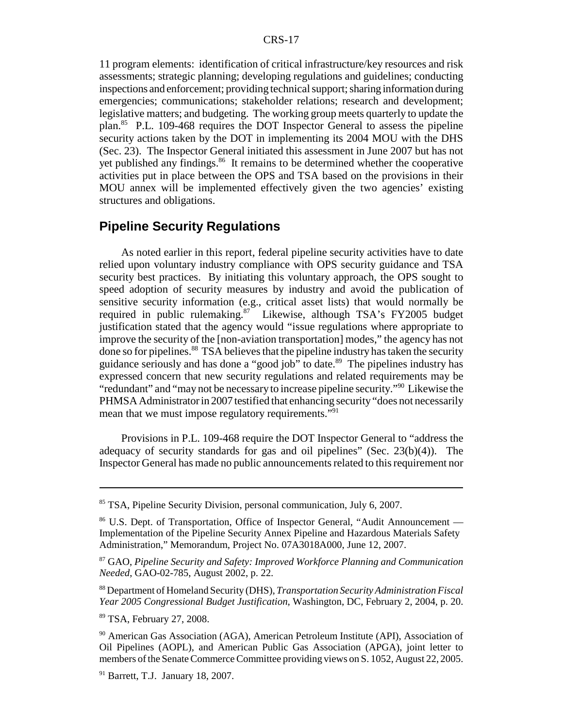11 program elements: identification of critical infrastructure/key resources and risk assessments; strategic planning; developing regulations and guidelines; conducting inspections and enforcement; providing technical support; sharing information during emergencies; communications; stakeholder relations; research and development; legislative matters; and budgeting. The working group meets quarterly to update the plan.85 P.L. 109-468 requires the DOT Inspector General to assess the pipeline security actions taken by the DOT in implementing its 2004 MOU with the DHS (Sec. 23). The Inspector General initiated this assessment in June 2007 but has not yet published any findings.<sup>86</sup> It remains to be determined whether the cooperative activities put in place between the OPS and TSA based on the provisions in their MOU annex will be implemented effectively given the two agencies' existing structures and obligations.

## **Pipeline Security Regulations**

As noted earlier in this report, federal pipeline security activities have to date relied upon voluntary industry compliance with OPS security guidance and TSA security best practices. By initiating this voluntary approach, the OPS sought to speed adoption of security measures by industry and avoid the publication of sensitive security information (e.g., critical asset lists) that would normally be required in public rulemaking.<sup>87</sup> Likewise, although TSA's FY2005 budget justification stated that the agency would "issue regulations where appropriate to improve the security of the [non-aviation transportation] modes," the agency has not done so for pipelines.<sup>88</sup> TSA believes that the pipeline industry has taken the security guidance seriously and has done a "good job" to date.<sup>89</sup> The pipelines industry has expressed concern that new security regulations and related requirements may be "redundant" and "may not be necessary to increase pipeline security."90 Likewise the PHMSA Administrator in 2007 testified that enhancing security "does not necessarily mean that we must impose regulatory requirements."<sup>91</sup>

Provisions in P.L. 109-468 require the DOT Inspector General to "address the adequacy of security standards for gas and oil pipelines" (Sec. 23(b)(4)). The Inspector General has made no public announcements related to this requirement nor

<sup>85</sup> TSA, Pipeline Security Division, personal communication, July 6, 2007.

<sup>86</sup> U.S. Dept. of Transportation, Office of Inspector General, "Audit Announcement — Implementation of the Pipeline Security Annex Pipeline and Hazardous Materials Safety Administration," Memorandum, Project No. 07A3018A000, June 12, 2007.

<sup>87</sup> GAO, *Pipeline Security and Safety: Improved Workforce Planning and Communication Needed*, GAO-02-785, August 2002, p. 22.

<sup>88</sup> Department of Homeland Security (DHS), *Transportation Security Administration Fiscal Year 2005 Congressional Budget Justification*, Washington, DC, February 2, 2004, p. 20.

<sup>89</sup> TSA, February 27, 2008.

<sup>&</sup>lt;sup>90</sup> American Gas Association (AGA), American Petroleum Institute (API), Association of Oil Pipelines (AOPL), and American Public Gas Association (APGA), joint letter to members of the Senate Commerce Committee providing views on S. 1052, August 22, 2005.

 $91$  Barrett, T.J. January 18, 2007.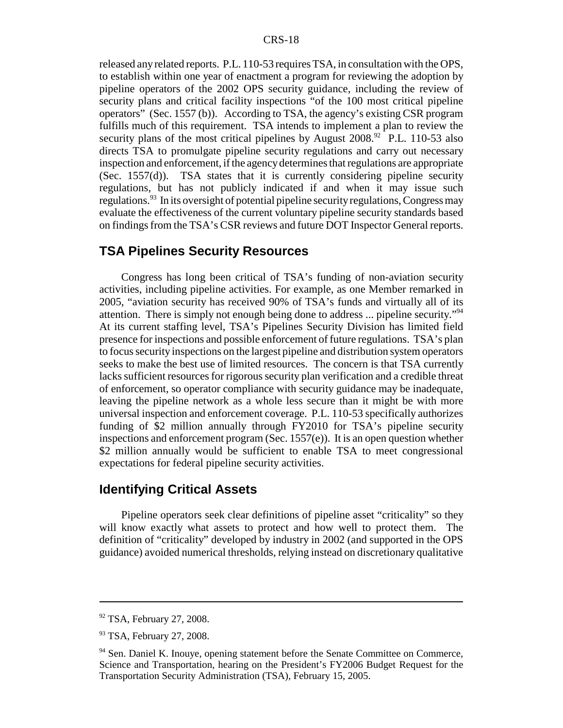released any related reports. P.L. 110-53 requires TSA, in consultation with the OPS, to establish within one year of enactment a program for reviewing the adoption by pipeline operators of the 2002 OPS security guidance, including the review of security plans and critical facility inspections "of the 100 most critical pipeline operators" (Sec. 1557 (b)). According to TSA, the agency's existing CSR program fulfills much of this requirement. TSA intends to implement a plan to review the security plans of the most critical pipelines by August  $2008<sup>92</sup>$  P.L. 110-53 also directs TSA to promulgate pipeline security regulations and carry out necessary inspection and enforcement, if the agency determines that regulations are appropriate (Sec. 1557(d)). TSA states that it is currently considering pipeline security regulations, but has not publicly indicated if and when it may issue such regulations.<sup>93</sup> In its oversight of potential pipeline security regulations, Congress may evaluate the effectiveness of the current voluntary pipeline security standards based on findings from the TSA's CSR reviews and future DOT Inspector General reports.

## **TSA Pipelines Security Resources**

Congress has long been critical of TSA's funding of non-aviation security activities, including pipeline activities. For example, as one Member remarked in 2005, "aviation security has received 90% of TSA's funds and virtually all of its attention. There is simply not enough being done to address ... pipeline security."94 At its current staffing level, TSA's Pipelines Security Division has limited field presence for inspections and possible enforcement of future regulations. TSA's plan to focus security inspections on the largest pipeline and distribution system operators seeks to make the best use of limited resources. The concern is that TSA currently lacks sufficient resources for rigorous security plan verification and a credible threat of enforcement, so operator compliance with security guidance may be inadequate, leaving the pipeline network as a whole less secure than it might be with more universal inspection and enforcement coverage. P.L. 110-53 specifically authorizes funding of \$2 million annually through FY2010 for TSA's pipeline security inspections and enforcement program (Sec.  $1557(e)$ ). It is an open question whether \$2 million annually would be sufficient to enable TSA to meet congressional expectations for federal pipeline security activities.

#### **Identifying Critical Assets**

Pipeline operators seek clear definitions of pipeline asset "criticality" so they will know exactly what assets to protect and how well to protect them. The definition of "criticality" developed by industry in 2002 (and supported in the OPS guidance) avoided numerical thresholds, relying instead on discretionary qualitative

<sup>&</sup>lt;sup>92</sup> TSA, February 27, 2008.

<sup>&</sup>lt;sup>93</sup> TSA, February 27, 2008.

<sup>&</sup>lt;sup>94</sup> Sen. Daniel K. Inouye, opening statement before the Senate Committee on Commerce, Science and Transportation, hearing on the President's FY2006 Budget Request for the Transportation Security Administration (TSA), February 15, 2005.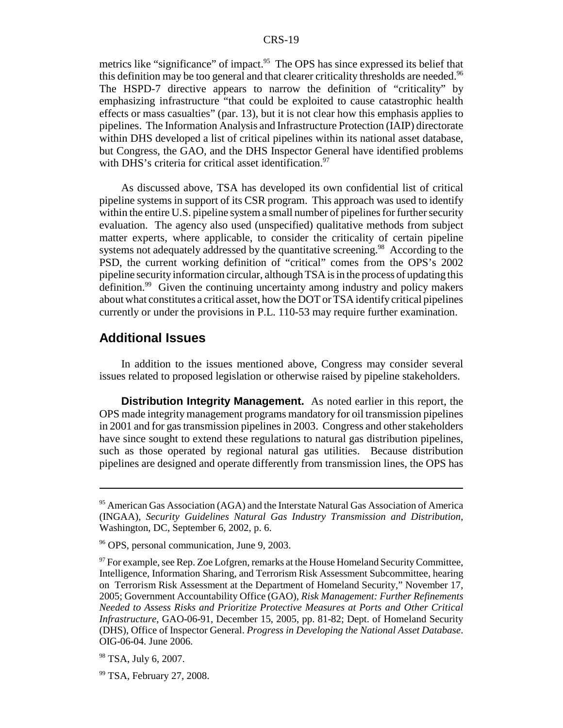metrics like "significance" of impact.<sup>95</sup> The OPS has since expressed its belief that this definition may be too general and that clearer criticality thresholds are needed.<sup>96</sup> The HSPD-7 directive appears to narrow the definition of "criticality" by emphasizing infrastructure "that could be exploited to cause catastrophic health effects or mass casualties" (par. 13), but it is not clear how this emphasis applies to pipelines. The Information Analysis and Infrastructure Protection (IAIP) directorate within DHS developed a list of critical pipelines within its national asset database, but Congress, the GAO, and the DHS Inspector General have identified problems with DHS's criteria for critical asset identification.<sup>97</sup>

As discussed above, TSA has developed its own confidential list of critical pipeline systems in support of its CSR program. This approach was used to identify within the entire U.S. pipeline system a small number of pipelines for further security evaluation. The agency also used (unspecified) qualitative methods from subject matter experts, where applicable, to consider the criticality of certain pipeline systems not adequately addressed by the quantitative screening.<sup>98</sup> According to the PSD, the current working definition of "critical" comes from the OPS's 2002 pipeline security information circular, although TSA is in the process of updating this definition.99 Given the continuing uncertainty among industry and policy makers about what constitutes a critical asset, how the DOT or TSA identify critical pipelines currently or under the provisions in P.L. 110-53 may require further examination.

## **Additional Issues**

In addition to the issues mentioned above, Congress may consider several issues related to proposed legislation or otherwise raised by pipeline stakeholders.

**Distribution Integrity Management.** As noted earlier in this report, the OPS made integrity management programs mandatory for oil transmission pipelines in 2001 and for gas transmission pipelines in 2003. Congress and other stakeholders have since sought to extend these regulations to natural gas distribution pipelines, such as those operated by regional natural gas utilities. Because distribution pipelines are designed and operate differently from transmission lines, the OPS has

<sup>&</sup>lt;sup>95</sup> American Gas Association (AGA) and the Interstate Natural Gas Association of America (INGAA), *Security Guidelines Natural Gas Industry Transmission and Distribution*, Washington, DC, September 6, 2002, p. 6.

<sup>96</sup> OPS, personal communication, June 9, 2003.

 $97$  For example, see Rep. Zoe Lofgren, remarks at the House Homeland Security Committee, Intelligence, Information Sharing, and Terrorism Risk Assessment Subcommittee, hearing on Terrorism Risk Assessment at the Department of Homeland Security," November 17, 2005; Government Accountability Office (GAO), *Risk Management: Further Refinements Needed to Assess Risks and Prioritize Protective Measures at Ports and Other Critical Infrastructure*, GAO-06-91, December 15, 2005, pp. 81-82; Dept. of Homeland Security (DHS), Office of Inspector General. *Progress in Developing the National Asset Database*. OIG-06-04. June 2006.

<sup>&</sup>lt;sup>98</sup> TSA, July 6, 2007.

<sup>99</sup> TSA, February 27, 2008.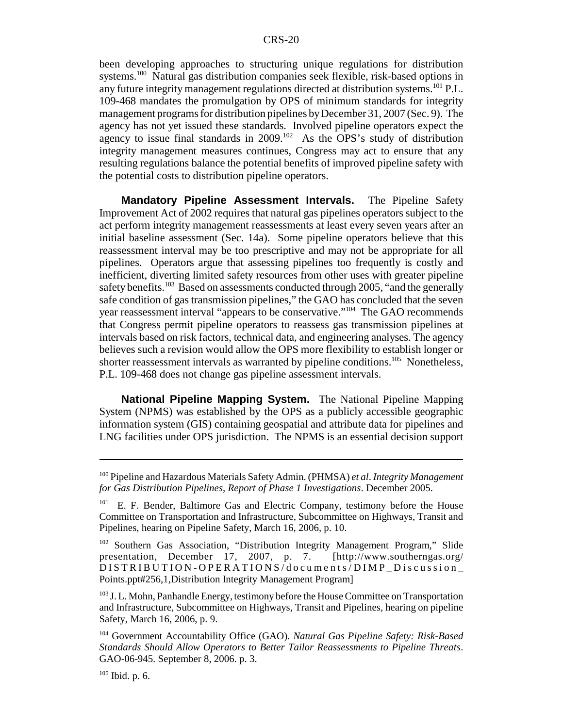been developing approaches to structuring unique regulations for distribution systems.<sup>100</sup> Natural gas distribution companies seek flexible, risk-based options in any future integrity management regulations directed at distribution systems.<sup>101</sup> P.L. 109-468 mandates the promulgation by OPS of minimum standards for integrity management programs for distribution pipelines by December 31, 2007 (Sec. 9). The agency has not yet issued these standards. Involved pipeline operators expect the agency to issue final standards in  $2009$ .<sup>102</sup> As the OPS's study of distribution integrity management measures continues, Congress may act to ensure that any resulting regulations balance the potential benefits of improved pipeline safety with the potential costs to distribution pipeline operators.

**Mandatory Pipeline Assessment Intervals.** The Pipeline Safety Improvement Act of 2002 requires that natural gas pipelines operators subject to the act perform integrity management reassessments at least every seven years after an initial baseline assessment (Sec. 14a). Some pipeline operators believe that this reassessment interval may be too prescriptive and may not be appropriate for all pipelines. Operators argue that assessing pipelines too frequently is costly and inefficient, diverting limited safety resources from other uses with greater pipeline safety benefits.<sup>103</sup> Based on assessments conducted through 2005, "and the generally safe condition of gas transmission pipelines," the GAO has concluded that the seven year reassessment interval "appears to be conservative."104 The GAO recommends that Congress permit pipeline operators to reassess gas transmission pipelines at intervals based on risk factors, technical data, and engineering analyses. The agency believes such a revision would allow the OPS more flexibility to establish longer or shorter reassessment intervals as warranted by pipeline conditions.<sup>105</sup> Nonetheless, P.L. 109-468 does not change gas pipeline assessment intervals.

**National Pipeline Mapping System.** The National Pipeline Mapping System (NPMS) was established by the OPS as a publicly accessible geographic information system (GIS) containing geospatial and attribute data for pipelines and LNG facilities under OPS jurisdiction. The NPMS is an essential decision support

<sup>100</sup> Pipeline and Hazardous Materials Safety Admin. (PHMSA) *et al*. *Integrity Management for Gas Distribution Pipelines, Report of Phase 1 Investigations*. December 2005.

<sup>&</sup>lt;sup>101</sup> E. F. Bender, Baltimore Gas and Electric Company, testimony before the House Committee on Transportation and Infrastructure, Subcommittee on Highways, Transit and Pipelines, hearing on Pipeline Safety, March 16, 2006, p. 10.

<sup>&</sup>lt;sup>102</sup> Southern Gas Association, "Distribution Integrity Management Program," Slide presentation, December 17, 2007, p. 7. [http://www.southerngas.org/ DISTRIBUTION-OPERATIONS/documents/DIMP\_Discussion\_ Points.ppt#256,1,Distribution Integrity Management Program]

<sup>&</sup>lt;sup>103</sup> J. L. Mohn, Panhandle Energy, testimony before the House Committee on Transportation and Infrastructure, Subcommittee on Highways, Transit and Pipelines, hearing on pipeline Safety, March 16, 2006, p. 9.

<sup>104</sup> Government Accountability Office (GAO). *Natural Gas Pipeline Safety: Risk-Based Standards Should Allow Operators to Better Tailor Reassessments to Pipeline Threats*. GAO-06-945. September 8, 2006. p. 3.

 $105$  Ibid. p. 6.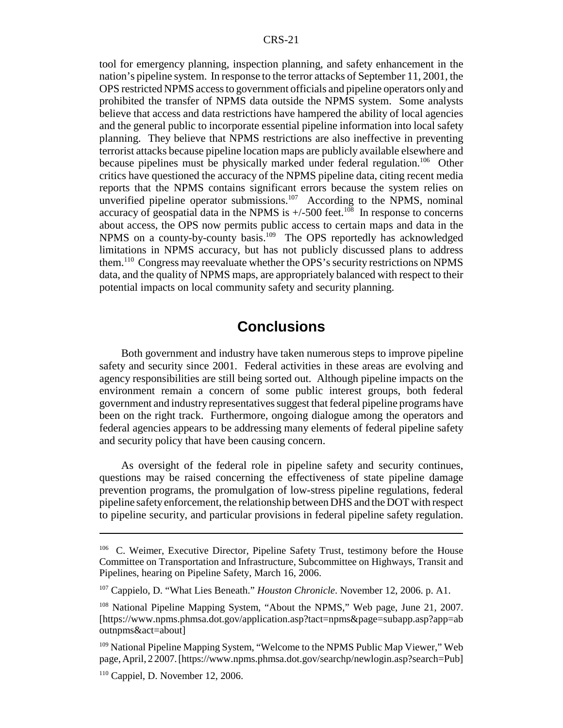tool for emergency planning, inspection planning, and safety enhancement in the nation's pipeline system. In response to the terror attacks of September 11, 2001, the OPS restricted NPMS access to government officials and pipeline operators only and prohibited the transfer of NPMS data outside the NPMS system. Some analysts believe that access and data restrictions have hampered the ability of local agencies and the general public to incorporate essential pipeline information into local safety planning. They believe that NPMS restrictions are also ineffective in preventing terrorist attacks because pipeline location maps are publicly available elsewhere and because pipelines must be physically marked under federal regulation.<sup>106</sup> Other critics have questioned the accuracy of the NPMS pipeline data, citing recent media reports that the NPMS contains significant errors because the system relies on unverified pipeline operator submissions.<sup>107</sup> According to the NPMS, nominal accuracy of geospatial data in the NPMS is  $+/-500$  feet.<sup>108</sup> In response to concerns about access, the OPS now permits public access to certain maps and data in the NPMS on a county-by-county basis.<sup>109</sup> The OPS reportedly has acknowledged limitations in NPMS accuracy, but has not publicly discussed plans to address them.110 Congress may reevaluate whether the OPS's security restrictions on NPMS data, and the quality of NPMS maps, are appropriately balanced with respect to their potential impacts on local community safety and security planning.

## **Conclusions**

Both government and industry have taken numerous steps to improve pipeline safety and security since 2001. Federal activities in these areas are evolving and agency responsibilities are still being sorted out. Although pipeline impacts on the environment remain a concern of some public interest groups, both federal government and industry representatives suggest that federal pipeline programs have been on the right track. Furthermore, ongoing dialogue among the operators and federal agencies appears to be addressing many elements of federal pipeline safety and security policy that have been causing concern.

As oversight of the federal role in pipeline safety and security continues, questions may be raised concerning the effectiveness of state pipeline damage prevention programs, the promulgation of low-stress pipeline regulations, federal pipeline safety enforcement, the relationship between DHS and the DOT with respect to pipeline security, and particular provisions in federal pipeline safety regulation.

<sup>106</sup> C. Weimer, Executive Director, Pipeline Safety Trust, testimony before the House Committee on Transportation and Infrastructure, Subcommittee on Highways, Transit and Pipelines, hearing on Pipeline Safety, March 16, 2006.

<sup>107</sup> Cappielo, D. "What Lies Beneath." *Houston Chronicle*. November 12, 2006. p. A1.

<sup>108</sup> National Pipeline Mapping System, "About the NPMS," Web page, June 21, 2007. [https://www.npms.phmsa.dot.gov/application.asp?tact=npms&page=subapp.asp?app=ab outnpms&act=about]

<sup>&</sup>lt;sup>109</sup> National Pipeline Mapping System, "Welcome to the NPMS Public Map Viewer," Web page, April, 2 2007. [https://www.npms.phmsa.dot.gov/searchp/newlogin.asp?search=Pub]

 $110$  Cappiel, D. November 12, 2006.